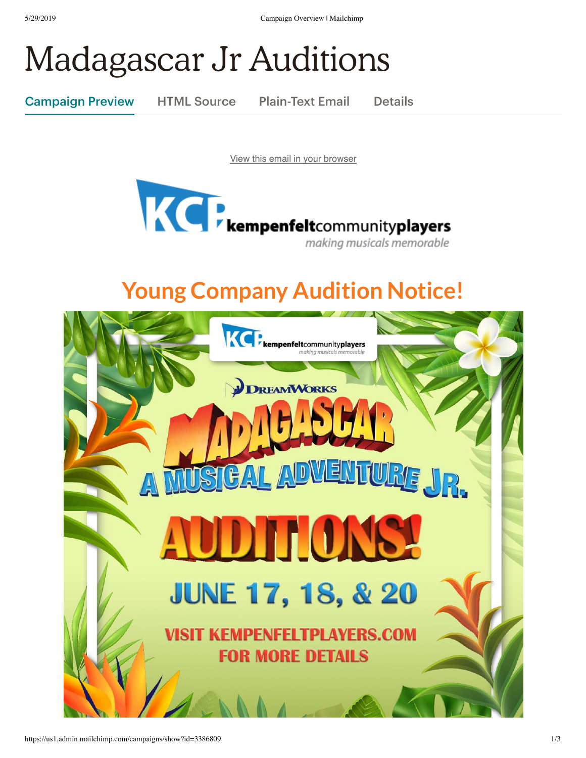# Madagascar Jr Auditions

Campaign Preview HTML Source Plain-Text Email Details

View this email in your [browser](https://mailchi.mp/ada6b5de4797/madagascarauditions?e=[UNIQID])



# **Young Company Audition Notice!**

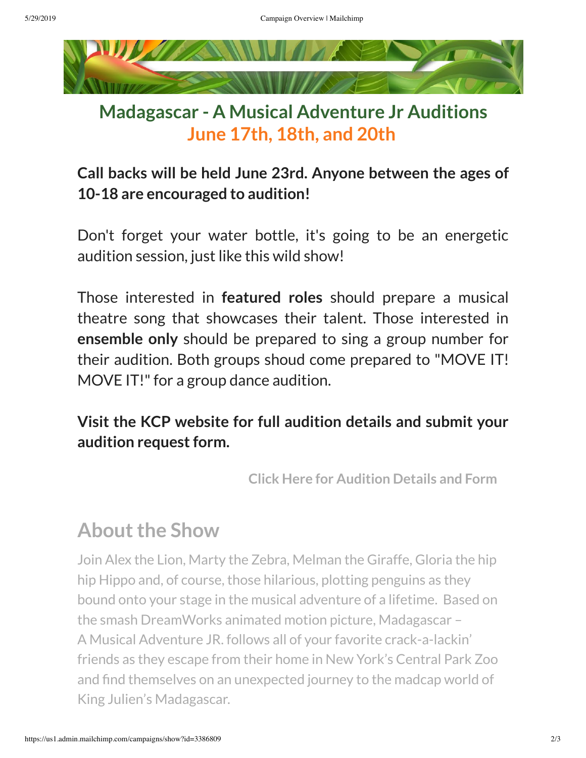

## **Madagascar - A Musical Adventure Jr Auditions June 17th, 18th, and 20th**

### **Call backs will be held June 23rd. Anyone between the ages of 10-18 are encouraged to audition!**

Don't forget your water bottle, it's going to be an energetic audition session, just like this wild show!

Those interested in **featured roles** should prepare a musical theatre song that showcases their talent. Those interested in **ensemble only** should be prepared to sing a group number for their audition. Both groups shoud come prepared to "MOVE IT! MOVE IT!" for a group dance audition.

### **Visit the KCP website for full audition details and submit your audition request form.**

**Click Here for [Audition](https://kempenfeltplayers.com/project/madagascar-jr/) Details and Form**

# **About the Show**

Join Alex the Lion, Marty the Zebra, Melman the Giraffe, Gloria the hip hip Hippo and, of course, those hilarious, plotting penguins as they bound onto your stage in the musical adventure of a lifetime. Based on the smash DreamWorks animated motion picture, Madagascar – A Musical Adventure JR. follows all of your favorite crack-a-lackin' friends as they escape from their home in New York's Central Park Zoo and find themselves on an unexpected journey to the madcap world of King Julien's Madagascar.